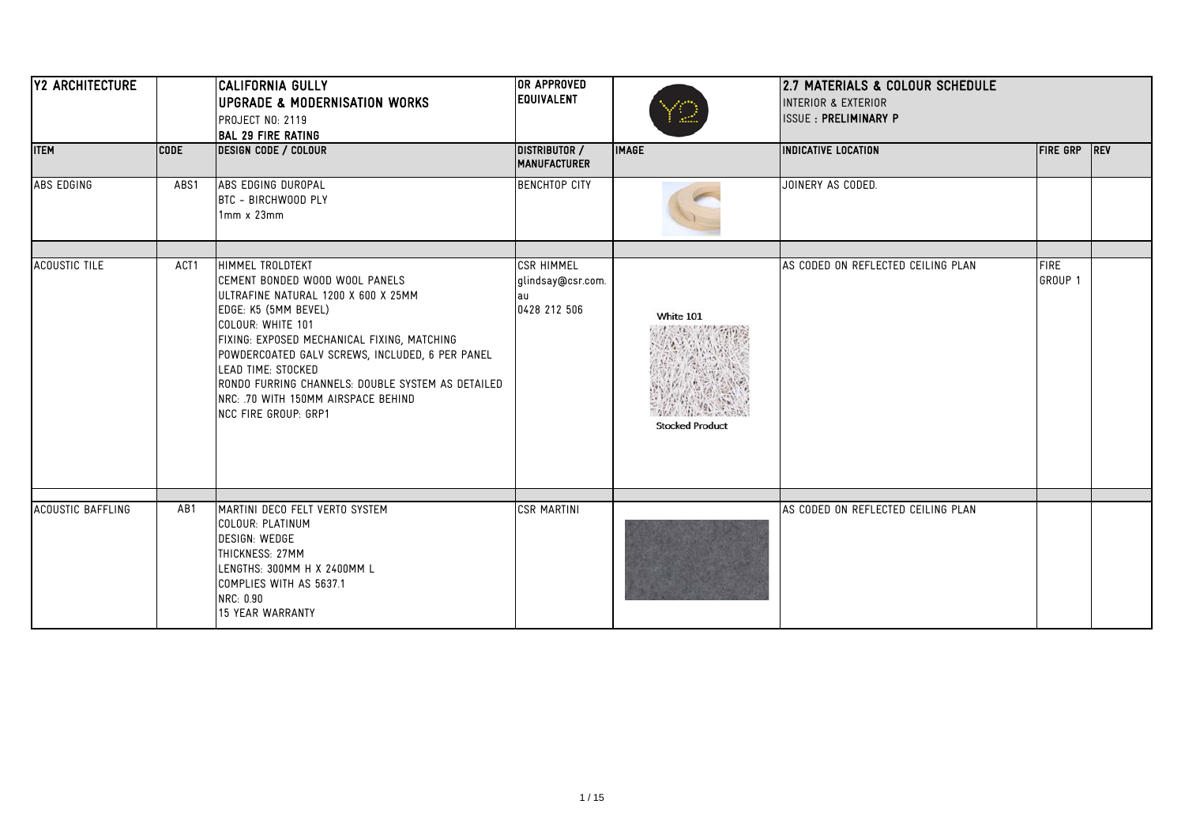| Y2 ARCHITECTURE          |             | CALIFORNIA GULLY<br>UPGRADE & MODERNISATION WORKS<br>PROJECT NO: 2119<br><b>BAL 29 FIRE RATING</b>                                                                                                                                                                                                                                                                                 | OR APPROVED<br><b>EQUIVALENT</b>                      |                                     | 2.7 MATERIALS & COLOUR SCHEDULE<br><b>INTERIOR &amp; EXTERIOR</b><br><b>ISSUE: PRELIMINARY P</b> |                        |            |
|--------------------------|-------------|------------------------------------------------------------------------------------------------------------------------------------------------------------------------------------------------------------------------------------------------------------------------------------------------------------------------------------------------------------------------------------|-------------------------------------------------------|-------------------------------------|--------------------------------------------------------------------------------------------------|------------------------|------------|
| <b>ITEM</b>              | <b>CODE</b> | <b>DESIGN CODE / COLOUR</b>                                                                                                                                                                                                                                                                                                                                                        | DISTRIBUTOR /<br><b>MANUFACTURER</b>                  | <b>IMAGE</b>                        | <b>INDICATIVE LOCATION</b>                                                                       | <b>FIRE GRP</b>        | <b>REV</b> |
| ABS EDGING               | ABS1        | ABS EDGING DUROPAL<br>BTC - BIRCHWOOD PLY<br>$1mm \times 23mm$                                                                                                                                                                                                                                                                                                                     | <b>BENCHTOP CITY</b>                                  |                                     | JOINERY AS CODED.                                                                                |                        |            |
| <b>ACOUSTIC TILE</b>     | ACT1        | HIMMEL TROLDTEKT<br>CEMENT BONDED WOOD WOOL PANELS<br>ULTRAFINE NATURAL 1200 X 600 X 25MM<br>EDGE: K5 (5MM BEVEL)<br>COLOUR: WHITE 101<br>FIXING: EXPOSED MECHANICAL FIXING, MATCHING<br>POWDERCOATED GALV SCREWS, INCLUDED, 6 PER PANEL<br>LEAD TIME: STOCKED<br>RONDO FURRING CHANNELS: DOUBLE SYSTEM AS DETAILED<br>NRC: .70 WITH 150MM AIRSPACE BEHIND<br>NCC FIRE GROUP: GRP1 | CSR HIMMEL<br>glindsay@csr.com.<br>au<br>0428 212 506 | White 101<br><b>Stocked Product</b> | IAS CODED ON REFLECTED CEILING PLAN                                                              | <b>FIRE</b><br>GROUP 1 |            |
| <b>ACOUSTIC BAFFLING</b> | AB1         | MARTINI DECO FELT VERTO SYSTEM<br>COLOUR: PLATINUM<br><b>DESIGN: WEDGE</b><br>THICKNESS: 27MM<br>LENGTHS: 300MM H X 2400MM L<br>COMPLIES WITH AS 5637.1<br>NRC: 0.90<br>15 YEAR WARRANTY                                                                                                                                                                                           | <b>CSR MARTINI</b>                                    |                                     | AS CODED ON REFLECTED CEILING PLAN                                                               |                        |            |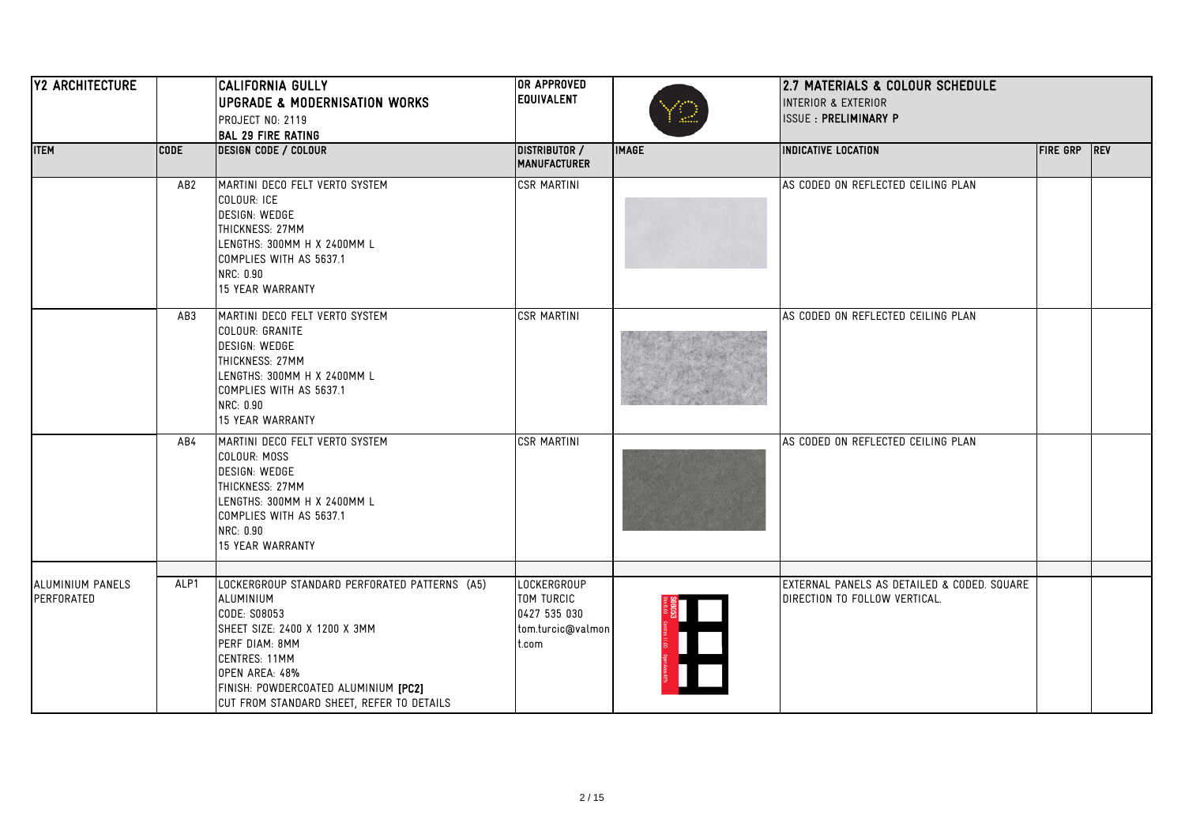| <b>Y2 ARCHITECTURE</b>         |                 | CALIFORNIA GULLY<br>UPGRADE & MODERNISATION WORKS<br>PROJECT NO: 2119<br><b>BAL 29 FIRE RATING</b>                                                                                                                                                           | OR APPROVED<br><b>EQUIVALENT</b>                                               |              | 2.7 MATERIALS & COLOUR SCHEDULE<br>INTERIOR & EXTERIOR<br><b>ISSUE: PRELIMINARY P</b> |              |  |
|--------------------------------|-----------------|--------------------------------------------------------------------------------------------------------------------------------------------------------------------------------------------------------------------------------------------------------------|--------------------------------------------------------------------------------|--------------|---------------------------------------------------------------------------------------|--------------|--|
| <b>ITEM</b>                    | ICODE.          | DESIGN CODE / COLOUR                                                                                                                                                                                                                                         | DISTRIBUTOR /<br><b>MANUFACTURER</b>                                           | <b>IMAGE</b> | <b>INDICATIVE LOCATION</b>                                                            | FIRE GRP REV |  |
|                                | AB <sub>2</sub> | MARTINI DECO FELT VERTO SYSTEM<br>COLOUR: ICE<br><b>DESIGN: WEDGE</b><br>THICKNESS: 27MM<br>LENGTHS: 300MM H X 2400MM L<br>COMPLIES WITH AS 5637.1<br>NRC: 0.90<br>15 YEAR WARRANTY                                                                          | <b>CSR MARTINI</b>                                                             |              | AS CODED ON REFLECTED CEILING PLAN                                                    |              |  |
|                                | AB3             | MARTINI DECO FELT VERTO SYSTEM<br>COLOUR: GRANITE<br><b>DESIGN: WEDGE</b><br>THICKNESS: 27MM<br>LENGTHS: 300MM H X 2400MM L<br>COMPLIES WITH AS 5637.1<br>NRC: 0.90<br><b>15 YEAR WARRANTY</b>                                                               | <b>CSR MARTINI</b>                                                             |              | AS CODED ON REFLECTED CEILING PLAN                                                    |              |  |
|                                | AB4             | MARTINI DECO FELT VERTO SYSTEM<br>COLOUR: MOSS<br><b>DESIGN: WEDGE</b><br>THICKNESS: 27MM<br>LENGTHS: 300MM H X 2400MM L<br>COMPLIES WITH AS 5637.1<br>NRC: 0.90<br>15 YEAR WARRANTY                                                                         | <b>CSR MARTINI</b>                                                             |              | AS CODED ON REFLECTED CEILING PLAN                                                    |              |  |
| ALUMINIUM PANELS<br>PERFORATED | ALP1            | LOCKERGROUP STANDARD PERFORATED PATTERNS (A5)<br>ALUMINIUM<br>CODE: S08053<br>SHEET SIZE: 2400 X 1200 X 3MM<br>PERF DIAM: 8MM<br><b>CENTRES: 11MM</b><br>OPEN AREA: 48%<br>FINISH: POWDERCOATED ALUMINIUM [PC2]<br>CUT FROM STANDARD SHEET, REFER TO DETAILS | <b>LOCKERGROUP</b><br>TOM TURCIC<br>0427 535 030<br>tom.turcic@valmon<br>t.com | ╇            | EXTERNAL PANELS AS DETAILED & CODED. SQUARE<br>DIRECTION TO FOLLOW VERTICAL.          |              |  |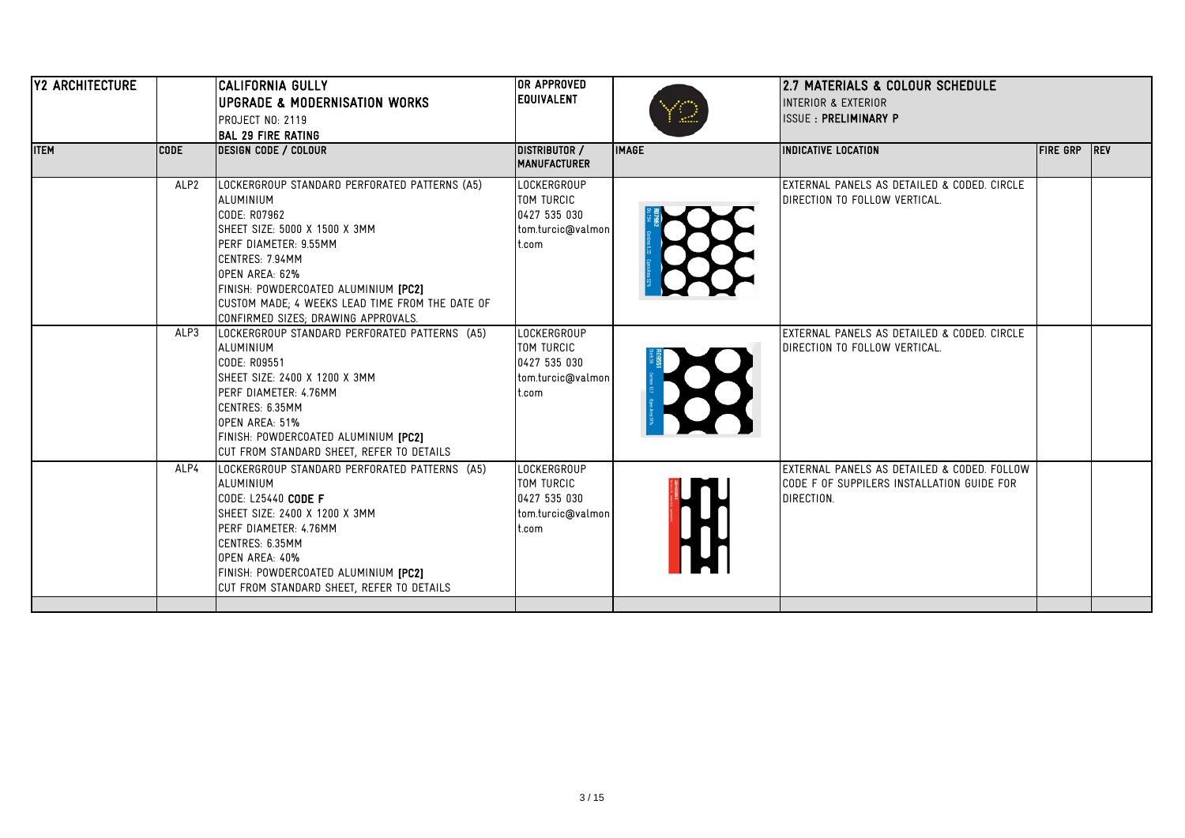| <b>Y2 ARCHITECTURE</b> |             | <b>CALIFORNIA GULLY</b><br>UPGRADE & MODERNISATION WORKS<br>PROJECT NO: 2119<br>BAL 29 FIRE RATING                                                                                                                                                                                                           | OR APPROVED<br><b>EQUIVALENT</b>                                        |              | 2.7 MATERIALS & COLOUR SCHEDULE<br><b>INTERIOR &amp; EXTERIOR</b><br><b>ISSUE: PRELIMINARY P</b>        |                 |             |
|------------------------|-------------|--------------------------------------------------------------------------------------------------------------------------------------------------------------------------------------------------------------------------------------------------------------------------------------------------------------|-------------------------------------------------------------------------|--------------|---------------------------------------------------------------------------------------------------------|-----------------|-------------|
| <b>ITEM</b>            | <b>CODE</b> | DESIGN CODE / COLOUR                                                                                                                                                                                                                                                                                         | <b>DISTRIBUTOR /</b><br><b>MANUFACTURER</b>                             | <b>IMAGE</b> | <b>INDICATIVE LOCATION</b>                                                                              | <b>FIRE GRP</b> | <b>IREV</b> |
|                        | ALP2        | LOCKERGROUP STANDARD PERFORATED PATTERNS (A5)<br>ALUMINIUM<br>CODE: R07962<br>ISHEET SIZE: 5000 X 1500 X 3MM<br>PERF DIAMETER: 9.55MM<br>CENTRES: 7.94MM<br>OPEN AREA: 62%<br>FINISH: POWDERCOATED ALUMINIUM [PC2]<br>CUSTOM MADE; 4 WEEKS LEAD TIME FROM THE DATE OF<br>CONFIRMED SIZES; DRAWING APPROVALS. | LOCKERGROUP<br>TOM TURCIC<br>0427 535 030<br>tom.turcic@valmon<br>t.com |              | EXTERNAL PANELS AS DETAILED & CODED. CIRCLE<br>DIRECTION TO FOLLOW VERTICAL.                            |                 |             |
|                        | ALP3        | LOCKERGROUP STANDARD PERFORATED PATTERNS (A5)<br><b>ALUMINIUM</b><br>CODE: R09551<br>SHEET SIZE: 2400 X 1200 X 3MM<br>PERF DIAMETER: 4.76MM<br>CENTRES: 6.35MM<br>OPEN AREA: 51%<br>FINISH: POWDERCOATED ALUMINIUM [PC2]<br>CUT FROM STANDARD SHEET, REFER TO DETAILS                                        | LOCKERGROUP<br>TOM TURCIC<br>0427 535 030<br>tom.turcic@valmon<br>t.com |              | EXTERNAL PANELS AS DETAILED & CODED. CIRCLE<br>DIRECTION TO FOLLOW VERTICAL.                            |                 |             |
|                        | ALP4        | LOCKERGROUP STANDARD PERFORATED PATTERNS (A5)<br>ALUMINIUM<br> CODE: L25440 <b>CODE F</b><br>ISHEET SIZE: 2400 X 1200 X 3MM<br>PERF DIAMETER: 4.76MM<br>CENTRES: 6.35MM<br>OPEN AREA: 40%<br>FINISH: POWDERCOATED ALUMINIUM [PC2]<br>CUT FROM STANDARD SHEET, REFER TO DETAILS                               | LOCKERGROUP<br>TOM TURCIC<br>0427 535 030<br>tom.turcic@valmon<br>t.com |              | EXTERNAL PANELS AS DETAILED & CODED. FOLLOW<br>CODE F OF SUPPILERS INSTALLATION GUIDE FOR<br>DIRECTION. |                 |             |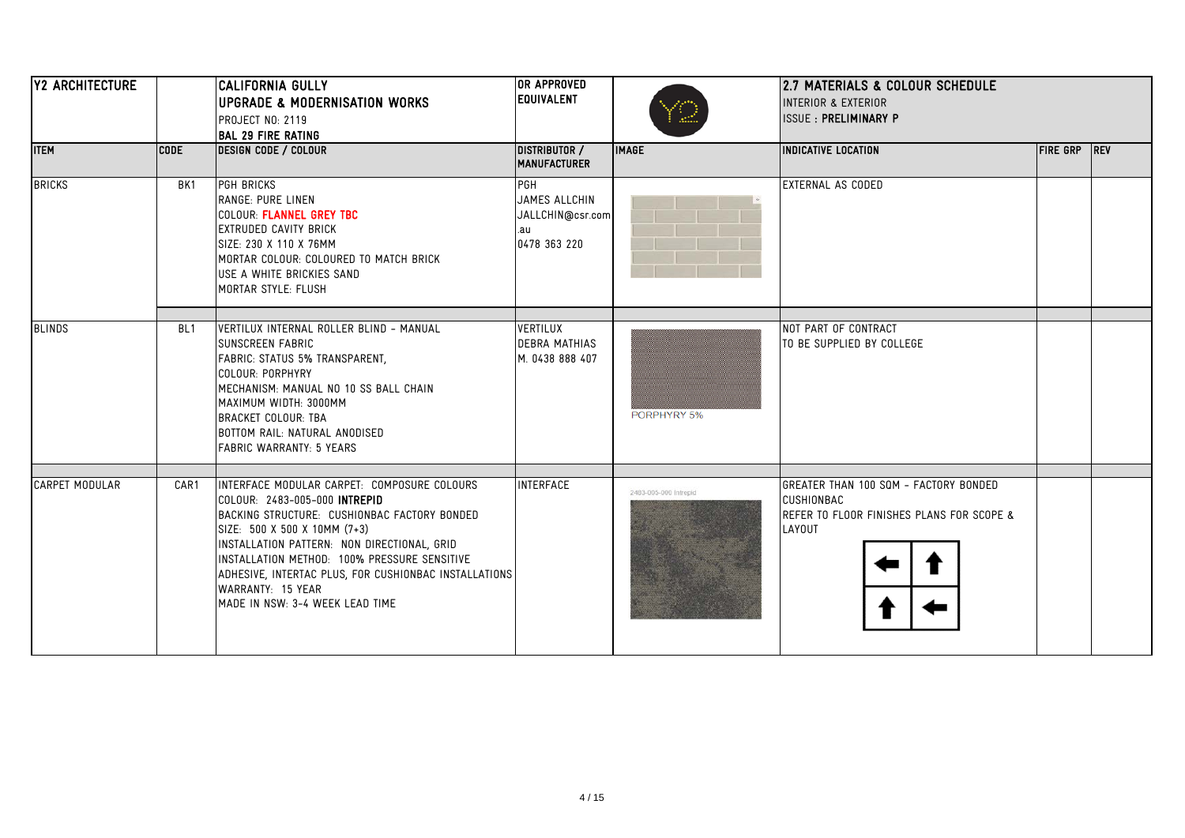| <b>Y2 ARCHITECTURE</b><br>OR APPROVED<br>CALIFORNIA GULLY<br><b>EQUIVALENT</b><br><b>UPGRADE &amp; MODERNISATION WORKS</b><br><b>INTERIOR &amp; EXTERIOR</b><br><b>ISSUE: PRELIMINARY P</b><br>PROJECT NO: 2119<br><b>BAL 29 FIRE RATING</b> |                 | 2.7 MATERIALS & COLOUR SCHEDULE                                                                                                                                                                                                                                                                                                                                                      |                                                                 |                       |                                                                                                                          |                     |  |
|----------------------------------------------------------------------------------------------------------------------------------------------------------------------------------------------------------------------------------------------|-----------------|--------------------------------------------------------------------------------------------------------------------------------------------------------------------------------------------------------------------------------------------------------------------------------------------------------------------------------------------------------------------------------------|-----------------------------------------------------------------|-----------------------|--------------------------------------------------------------------------------------------------------------------------|---------------------|--|
| <b>ITEM</b>                                                                                                                                                                                                                                  | <b>CODE</b>     | DESIGN CODE / COLOUR                                                                                                                                                                                                                                                                                                                                                                 | <b>DISTRIBUTOR /</b><br><b>MANUFACTURER</b>                     | <b>IMAGE</b>          | <b>INDICATIVE LOCATION</b>                                                                                               | <b>FIRE GRP REV</b> |  |
| <b>BRICKS</b>                                                                                                                                                                                                                                | BK1             | <b>PGH BRICKS</b><br>RANGE: PURE LINEN<br>COLOUR: FLANNEL GREY TBC<br>EXTRUDED CAVITY BRICK<br>ISIZE: 230 X 110 X 76MM<br>MORTAR COLOUR: COLOURED TO MATCH BRICK<br>USE A WHITE BRICKIES SAND<br><b>MORTAR STYLE: FLUSH</b>                                                                                                                                                          | PGH<br>JAMES ALLCHIN<br>JALLCHIN@csr.com<br>.au<br>0478 363 220 |                       | EXTERNAL AS CODED                                                                                                        |                     |  |
| <b>BLINDS</b>                                                                                                                                                                                                                                | BL <sub>1</sub> | VERTILUX INTERNAL ROLLER BLIND - MANUAL<br><b>SUNSCREEN FABRIC</b><br><b>FABRIC: STATUS 5% TRANSPARENT,</b><br>COLOUR: PORPHYRY<br>MECHANISM: MANUAL NO 10 SS BALL CHAIN<br>MAXIMUM WIDTH: 3000MM<br>BRACKET COLOUR: TBA<br>BOTTOM RAIL: NATURAL ANODISED<br><b>FABRIC WARRANTY: 5 YEARS</b>                                                                                         | VERTILUX<br><b>DEBRA MATHIAS</b><br>M. 0438 888 407             | PORPHYRY 5%           | NOT PART OF CONTRACT<br>TO BE SUPPLIED BY COLLEGE                                                                        |                     |  |
| <b>CARPET MODULAR</b>                                                                                                                                                                                                                        | CAR1            | INTERFACE MODULAR CARPET: COMPOSURE COLOURS<br> COLOUR: 2483-005-000 <b> NTREPID</b><br>BACKING STRUCTURE: CUSHIONBAC FACTORY BONDED<br>SIZE: 500 X 500 X 10MM (7+3)<br>INSTALLATION PATTERN: NON DIRECTIONAL, GRID<br>INSTALLATION METHOD: 100% PRESSURE SENSITIVE<br>ADHESIVE, INTERTAC PLUS, FOR CUSHIONBAC INSTALLATIONS<br>WARRANTY: 15 YEAR<br>MADE IN NSW: 3-4 WEEK LEAD TIME | <b>INTERFACE</b>                                                | 2483-005-000 Intrepid | <b>GREATER THAN 100 SQM - FACTORY BONDED</b><br><b>CUSHIONBAC</b><br>REFER TO FLOOR FINISHES PLANS FOR SCOPE &<br>LAYOUT |                     |  |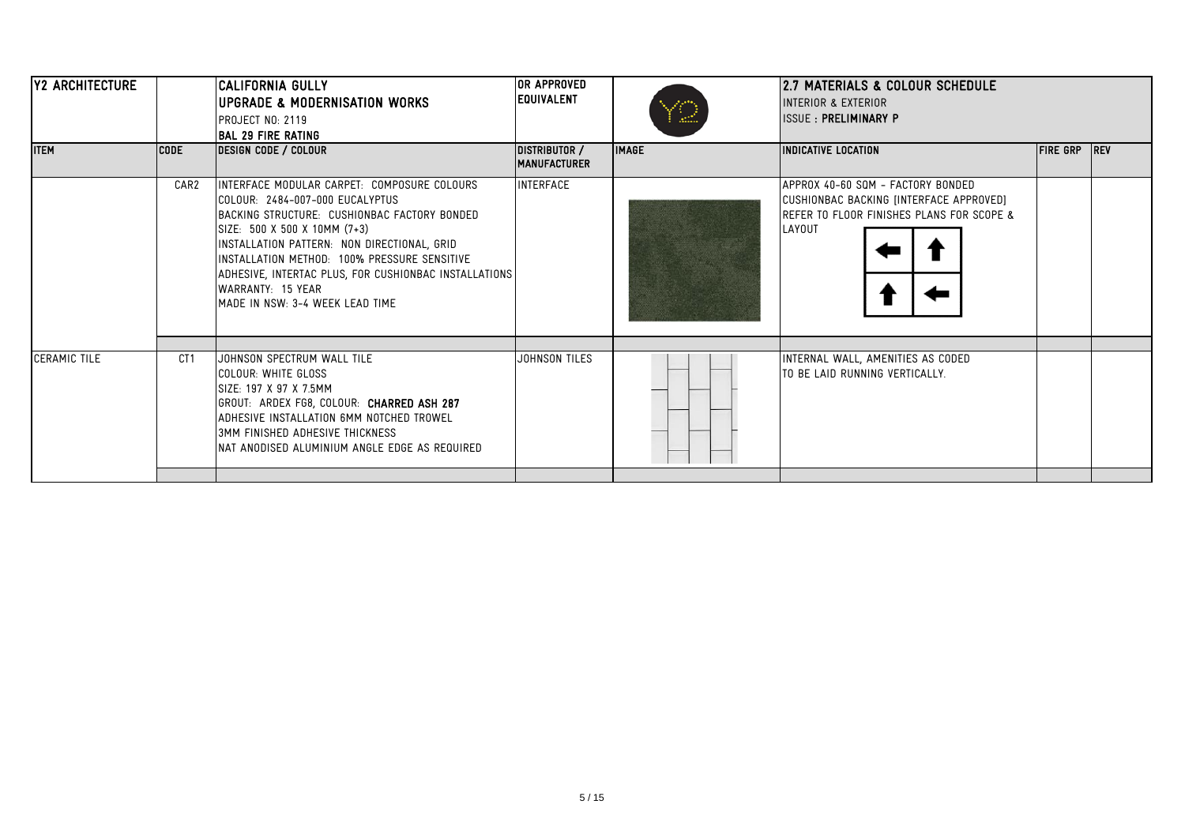| Y2 ARCHITECTURE     |                 | CALIFORNIA GULLY<br>UPGRADE & MODERNISATION WORKS<br><b>PROJECT NO: 2119</b><br>BAL 29 FIRE RATING                                                                                                                                                                                                                                                                                | OR APPROVED<br><b>EQUIVALENT</b>     |              | 2.7 MATERIALS & COLOUR SCHEDULE<br><b>INTERIOR &amp; EXTERIOR</b><br><b>IISSUE: PRELIMINARY P</b>                                                |                     |  |
|---------------------|-----------------|-----------------------------------------------------------------------------------------------------------------------------------------------------------------------------------------------------------------------------------------------------------------------------------------------------------------------------------------------------------------------------------|--------------------------------------|--------------|--------------------------------------------------------------------------------------------------------------------------------------------------|---------------------|--|
| <b>IITEM</b>        | <b>CODE</b>     | DESIGN CODE / COLOUR                                                                                                                                                                                                                                                                                                                                                              | DISTRIBUTOR /<br><b>MANUFACTURER</b> | <b>IMAGE</b> | <b>IINDICATIVE LOCATION</b>                                                                                                                      | <b>FIRE GRP REV</b> |  |
|                     | CAR2            | IINTERFACE MODULAR CARPET: COMPOSURE COLOURS<br>COLOUR: 2484-007-000 EUCALYPTUS<br>IBACKING STRUCTURE: CUSHIONBAC FACTORY BONDED<br>SIZE: 500 X 500 X 10MM (7+3)<br>INSTALLATION PATTERN: NON DIRECTIONAL, GRID<br>INSTALLATION METHOD: 100% PRESSURE SENSITIVE<br>ADHESIVE, INTERTAC PLUS, FOR CUSHIONBAC INSTALLATIONS<br>WARRANTY: 15 YEAR<br>IMADE IN NSW: 3-4 WEEK LEAD TIME | <b>INTERFACE</b>                     |              | IAPPROX 40-60 SQM - FACTORY BONDED<br>CUSHIONBAC BACKING [INTERFACE APPROVED]<br><b>IREFER TO FLOOR FINISHES PLANS FOR SCOPE &amp;</b><br>LAYOUT |                     |  |
| <b>CERAMIC TILE</b> | CT <sub>1</sub> | JOHNSON SPECTRUM WALL TILE<br>ICOLOUR: WHITE GLOSS<br>SIZE: 197 X 97 X 7.5MM<br>GROUT: ARDEX FG8, COLOUR: <b>CHARRED ASH 287</b><br>ADHESIVE INSTALLATION 6MM NOTCHED TROWEL<br>I3MM FINISHED ADHESIVE THICKNESS<br>INAT ANODISED ALUMINIUM ANGLE EDGE AS REQUIRED                                                                                                                | <b>JOHNSON TILES</b>                 |              | INTERNAL WALL, AMENITIES AS CODED<br>ITO BE LAID RUNNING VERTICALLY.                                                                             |                     |  |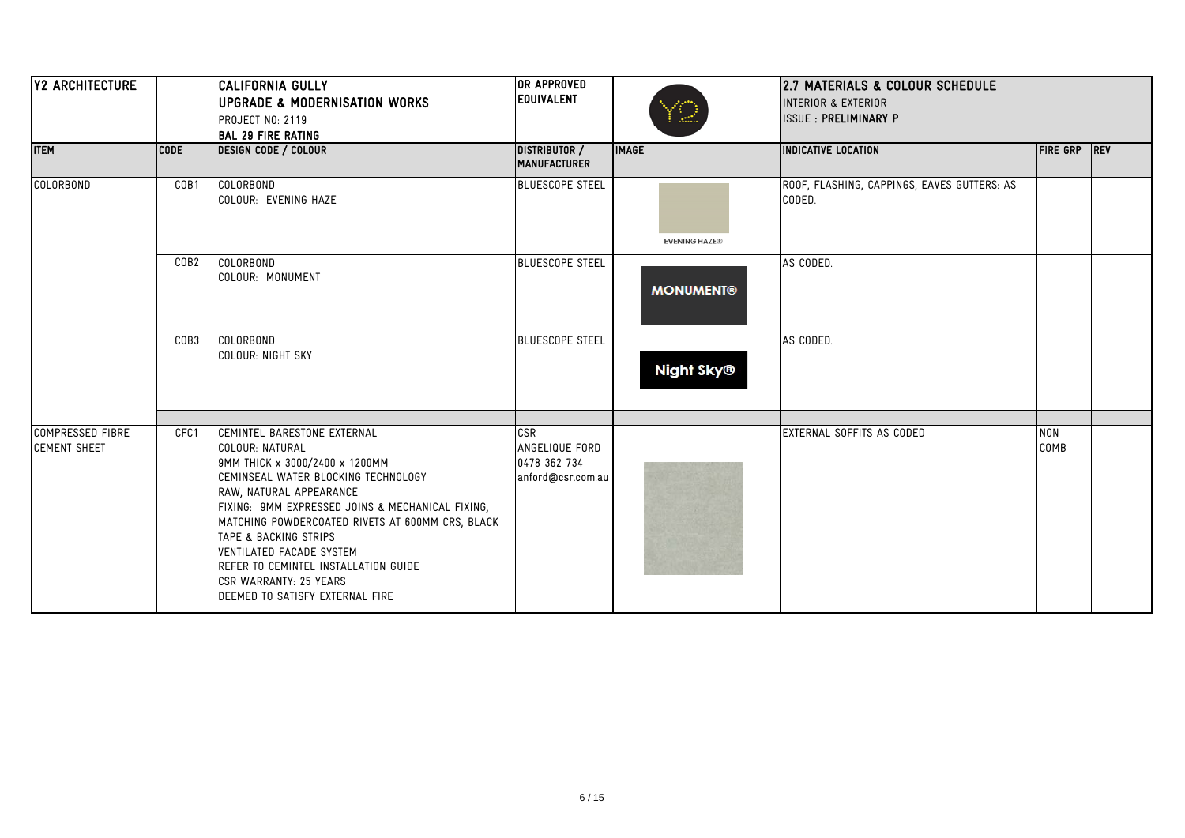| <b>Y2 ARCHITECTURE</b>                         |                  | CALIFORNIA GULLY<br>UPGRADE & MODERNISATION WORKS<br><b>PROJECT NO: 2119</b><br>BAL 29 FIRE RATING                                                                                                                                                                                                                                                                                                                                  | OR APPROVED<br><b>EQUIVALENT</b>                           |                      | 2.7 MATERIALS & COLOUR SCHEDULE<br><b>INTERIOR &amp; EXTERIOR</b><br><b>ISSUE: PRELIMINARY P</b> |                    |  |
|------------------------------------------------|------------------|-------------------------------------------------------------------------------------------------------------------------------------------------------------------------------------------------------------------------------------------------------------------------------------------------------------------------------------------------------------------------------------------------------------------------------------|------------------------------------------------------------|----------------------|--------------------------------------------------------------------------------------------------|--------------------|--|
| <b>ITEM</b>                                    | <b>CODE</b>      | <b>DESIGN CODE / COLOUR</b>                                                                                                                                                                                                                                                                                                                                                                                                         | DISTRIBUTOR /<br><b>MANUFACTURER</b>                       | <b>IMAGE</b>         | <b>INDICATIVE LOCATION</b>                                                                       | FIRE GRP FREV      |  |
| <b>COLORBOND</b>                               | COB1             | COLORBOND<br>COLOUR: EVENING HAZE                                                                                                                                                                                                                                                                                                                                                                                                   | <b>BLUESCOPE STEEL</b>                                     | <b>EVENING HAZE®</b> | ROOF, FLASHING, CAPPINGS, EAVES GUTTERS: AS<br>CODED.                                            |                    |  |
|                                                | COB <sub>2</sub> | <b>COLORBOND</b><br>COLOUR: MONUMENT                                                                                                                                                                                                                                                                                                                                                                                                | <b>BLUESCOPE STEEL</b>                                     | <b>MONUMENT®</b>     | AS CODED.                                                                                        |                    |  |
|                                                | COB3             | <b>COLORBOND</b><br><b>COLOUR: NIGHT SKY</b>                                                                                                                                                                                                                                                                                                                                                                                        | <b>BLUESCOPE STEEL</b>                                     | <b>Night Sky®</b>    | AS CODED.                                                                                        |                    |  |
| <b>COMPRESSED FIBRE</b><br><b>CEMENT SHEET</b> | CFC1             | CEMINTEL BARESTONE EXTERNAL<br>COLOUR: NATURAL<br>9MM THICK x 3000/2400 x 1200MM<br>CEMINSEAL WATER BLOCKING TECHNOLOGY<br>RAW, NATURAL APPEARANCE<br>FIXING: 9MM EXPRESSED JOINS & MECHANICAL FIXING,<br>MATCHING POWDERCOATED RIVETS AT 600MM CRS, BLACK<br>TAPE & BACKING STRIPS<br><b>VENTILATED FACADE SYSTEM</b><br>REFER TO CEMINTEL INSTALLATION GUIDE<br><b>CSR WARRANTY: 25 YEARS</b><br>IDEEMED TO SATISFY EXTERNAL FIRE | CSR<br>ANGELIQUE FORD<br>0478 362 734<br>anford@csr.com.au |                      | EXTERNAL SOFFITS AS CODED                                                                        | <b>NON</b><br>COMB |  |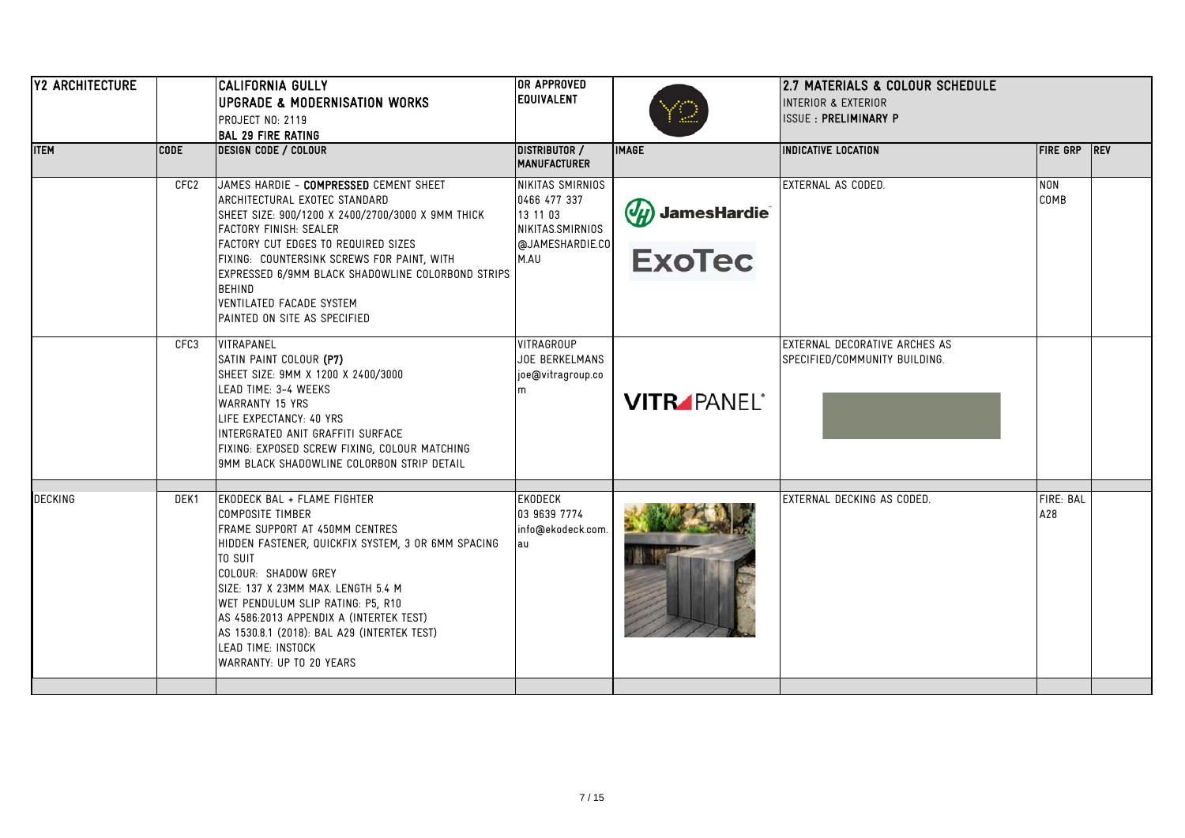| <b>Y2 ARCHITECTURE</b> |                  | CALIFORNIA GULLY<br>UPGRADE & MODERNISATION WORKS<br>PROJECT NO: 2119<br><b>BAL 29 FIRE RATING</b>                                                                                                                                                                                                                                                                                                             | OR APPROVED<br><b>EQUIVALENT</b>                                                            |                                              | 2.7 MATERIALS & COLOUR SCHEDULE<br><b>INTERIOR &amp; EXTERIOR</b><br><b>ISSUE: PRELIMINARY P</b> |                           |  |
|------------------------|------------------|----------------------------------------------------------------------------------------------------------------------------------------------------------------------------------------------------------------------------------------------------------------------------------------------------------------------------------------------------------------------------------------------------------------|---------------------------------------------------------------------------------------------|----------------------------------------------|--------------------------------------------------------------------------------------------------|---------------------------|--|
| <b>ITEM</b>            | ICODE.           | <b>DESIGN CODE / COLOUR</b>                                                                                                                                                                                                                                                                                                                                                                                    | DISTRIBUTOR /<br><b>MANUFACTURER</b>                                                        | <b>IMAGE</b>                                 | INDICATIVE LOCATION                                                                              | FIRE GRP REV              |  |
|                        | CFC <sub>2</sub> | JAMES HARDIE - COMPRESSED CEMENT SHEET<br>ARCHITECTURAL EXOTEC STANDARD<br>SHEET SIZE: 900/1200 X 2400/2700/3000 X 9MM THICK<br><b>FACTORY FINISH: SEALER</b><br><b>FACTORY CUT EDGES TO REQUIRED SIZES</b><br>FIXING: COUNTERSINK SCREWS FOR PAINT, WITH<br>EXPRESSED 6/9MM BLACK SHADOWLINE COLORBOND STRIPS<br><b>BEHIND</b><br><b>VENTILATED FACADE SYSTEM</b><br>PAINTED ON SITE AS SPECIFIED             | NIKITAS SMIRNIOS<br>0466 477 337<br>13 11 03<br>NIKITAS.SMIRNIOS<br>@JAMESHARDIE.CO<br>M.AU | <b>JamesHardie</b><br>$Q_H$<br><b>ExoTec</b> | EXTERNAL AS CODED.                                                                               | <b>NON</b><br><b>COMB</b> |  |
|                        | CFC3             | VITRAPANEL<br>SATIN PAINT COLOUR (P7)<br>SHEET SIZE: 9MM X 1200 X 2400/3000<br>LEAD TIME: 3-4 WEEKS<br><b>WARRANTY 15 YRS</b><br>LIFE EXPECTANCY: 40 YRS<br>INTERGRATED ANIT GRAFFITI SURFACE<br>FIXING: EXPOSED SCREW FIXING, COLOUR MATCHING<br>9MM BLACK SHADOWLINE COLORBON STRIP DETAIL                                                                                                                   | <b>VITRAGROUP</b><br>JOE BERKELMANS<br>joe@vitragroup.co                                    | <b>VITR</b> PANEL®                           | <b>EXTERNAL DECORATIVE ARCHES AS</b><br>SPECIFIED/COMMUNITY BUILDING.                            |                           |  |
| <b>DECKING</b>         | DEK1             | EKODECK BAL + FLAME FIGHTER<br><b>COMPOSITE TIMBER</b><br>FRAME SUPPORT AT 450MM CENTRES<br>HIDDEN FASTENER, QUICKFIX SYSTEM, 3 OR 6MM SPACING<br>TO SUIT<br>COLOUR: SHADOW GREY<br>SIZE: 137 X 23MM MAX. LENGTH 5.4 M<br>WET PENDULUM SLIP RATING: P5, R10<br>AS 4586:2013 APPENDIX A (INTERTEK TEST)<br>AS 1530.8.1 (2018): BAL A29 (INTERTEK TEST)<br>LEAD TIME: INSTOCK<br><b>WARRANTY: UP TO 20 YEARS</b> | <b>EKODECK</b><br>03 9639 7774<br>info@ekodeck.com.<br>au                                   |                                              | <b>EXTERNAL DECKING AS CODED.</b>                                                                | FIRE: BAL<br>A28          |  |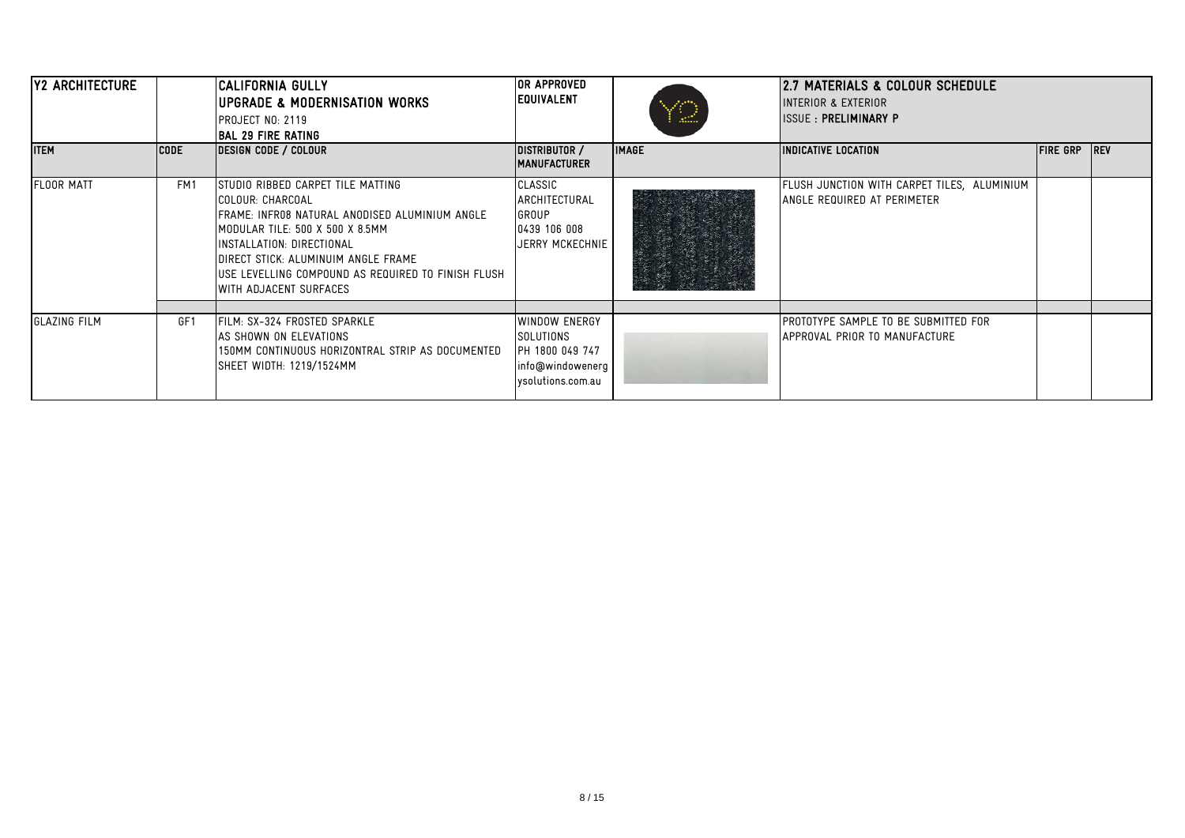| <b>Y2 ARCHITECTURE</b><br><b>ITEM</b> | ICODE | ICALIFORNIA GULLY<br> UPGRADE & MODERNISATION WORKS  <br><b>PROJECT NO: 2119</b><br><b>BAL 29 FIRE RATING</b><br>DESIGN CODE / COLOUR                                                                                                                                                                        | ior approved<br><b>EQUIVALENT</b><br>DISTRIBUTOR /                                            | Y.<br><b>IMAGE</b> | 12.7 MATERIALS & COLOUR SCHEDULE<br><b>INTERIOR &amp; EXTERIOR</b><br>IISSUE : <b>PRELIMINARY P</b><br><b>IINDICATIVE LOCATION</b> | <b>FIRE GRP</b> | <b>REV</b> |
|---------------------------------------|-------|--------------------------------------------------------------------------------------------------------------------------------------------------------------------------------------------------------------------------------------------------------------------------------------------------------------|-----------------------------------------------------------------------------------------------|--------------------|------------------------------------------------------------------------------------------------------------------------------------|-----------------|------------|
|                                       |       |                                                                                                                                                                                                                                                                                                              | <b>MANUFACTURER</b>                                                                           |                    |                                                                                                                                    |                 |            |
| <b>FLOOR MATT</b>                     | FM1   | ISTUDIO RIBBED CARPET TILE MATTING<br>ICOLOUR: CHARCOAL<br>FRAME: INFR08 NATURAL ANODISED ALUMINIUM ANGLE<br>IMODULAR TILE: 500 X 500 X 8.5MM<br>IINSTALLATION: DIRECTIONAL<br><b>IDIRECT STICK: ALUMINUIM ANGLE FRAME</b><br>IUSE LEVELLING COMPOUND AS REQUIRED TO FINISH FLUSH<br>IWITH ADJACENT SURFACES | CLASSIC<br>ARCHITECTURAL<br>GROUP<br>0439 106 008<br>JERRY MCKECHNIE                          |                    | FLUSH JUNCTION WITH CARPET TILES, ALUMINIUM<br>ANGLE REQUIRED AT PERIMETER                                                         |                 |            |
|                                       |       |                                                                                                                                                                                                                                                                                                              |                                                                                               |                    |                                                                                                                                    |                 |            |
| <b>GLAZING FILM</b>                   | GF1   | FILM: SX-324 FROSTED SPARKLE<br>IAS SHOWN ON ELEVATIONS<br>I150MM CONTINUOUS HORIZONTRAL STRIP AS DOCUMENTED<br>SHEET WIDTH: 1219/1524MM                                                                                                                                                                     | WINDOW ENERGY<br><b>SOLUTIONS</b><br>PH 1800 049 747<br>info@windowenerg<br>ysolutions.com.au |                    | PROTOTYPE SAMPLE TO BE SUBMITTED FOR<br>IAPPROVAL PRIOR TO MANUFACTURE                                                             |                 |            |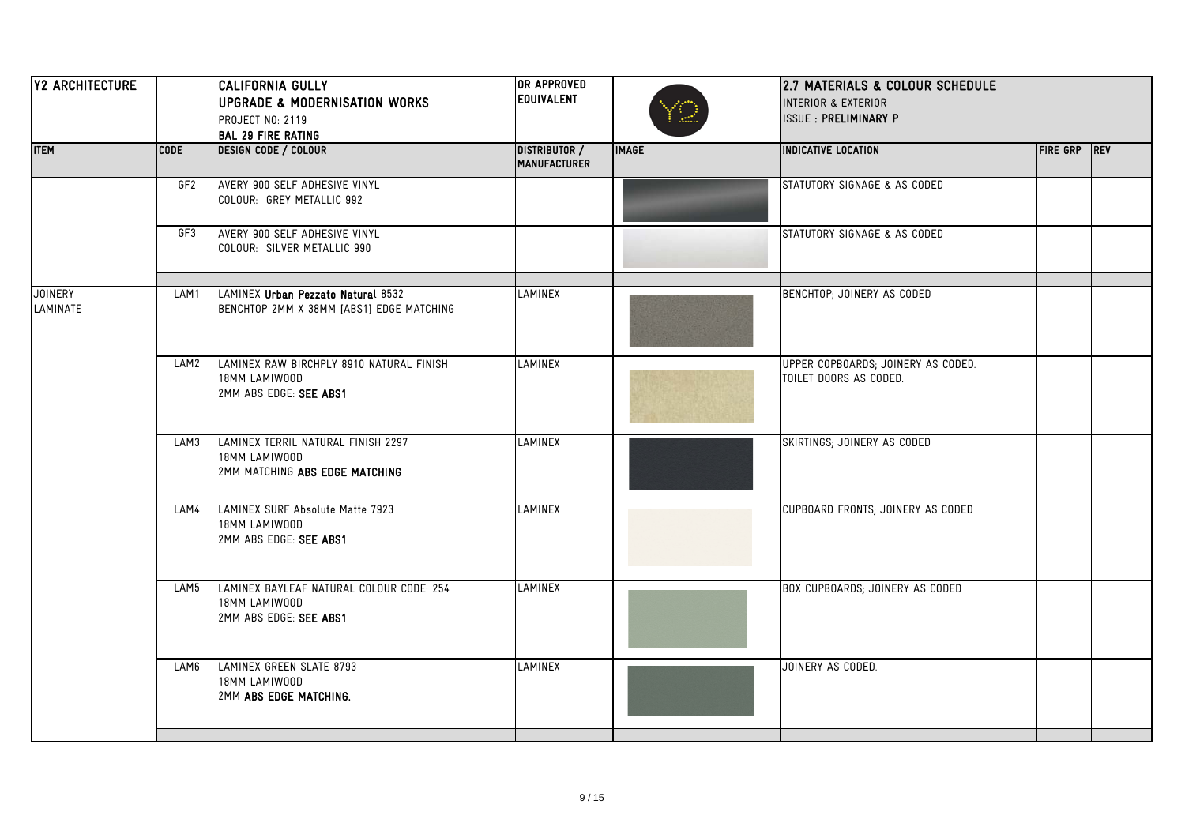| <b>Y2 ARCHITECTURE</b>     |             | CALIFORNIA GULLY<br>UPGRADE & MODERNISATION WORKS<br>PROJECT NO: 2119<br><b>BAL 29 FIRE RATING</b> | <b>OR APPROVED</b><br><b>EQUIVALENT</b>     |              | 2.7 MATERIALS & COLOUR SCHEDULE<br><b>INTERIOR &amp; EXTERIOR</b><br><b>ISSUE: PRELIMINARY P</b> |              |  |
|----------------------------|-------------|----------------------------------------------------------------------------------------------------|---------------------------------------------|--------------|--------------------------------------------------------------------------------------------------|--------------|--|
| <b>ITEM</b>                | <b>CODE</b> | <b>DESIGN CODE / COLOUR</b>                                                                        | <b>DISTRIBUTOR /</b><br><b>MANUFACTURER</b> | <b>IMAGE</b> | <b>INDICATIVE LOCATION</b>                                                                       | FIRE GRP REV |  |
|                            | GF2         | AVERY 900 SELF ADHESIVE VINYL<br>COLOUR: GREY METALLIC 992                                         |                                             |              | STATUTORY SIGNAGE & AS CODED                                                                     |              |  |
|                            | GF3         | AVERY 900 SELF ADHESIVE VINYL<br>COLOUR: SILVER METALLIC 990                                       |                                             |              | STATUTORY SIGNAGE & AS CODED                                                                     |              |  |
| <b>JOINERY</b><br>LAMINATE | LAM1        | LAMINEX Urban Pezzato Natural 8532<br>BENCHTOP 2MM X 38MM [ABS1] EDGE MATCHING                     | LAMINEX                                     |              | BENCHTOP; JOINERY AS CODED                                                                       |              |  |
|                            | LAM2        | LAMINEX RAW BIRCHPLY 8910 NATURAL FINISH<br>18MM LAMIW00D<br>2MM ABS EDGE: SEE ABS1                | <b>LAMINEX</b>                              |              | UPPER COPBOARDS; JOINERY AS CODED.<br>TOILET DOORS AS CODED.                                     |              |  |
|                            | LAM3        | LAMINEX TERRIL NATURAL FINISH 2297<br>18MM LAMIW00D<br>2MM MATCHING ABS EDGE MATCHING              | LAMINEX                                     |              | SKIRTINGS; JOINERY AS CODED                                                                      |              |  |
|                            | LAM4        | LAMINEX SURF Absolute Matte 7923<br>18MM LAMIWOOD<br>2MM ABS EDGE: SEE ABS1                        | <b>LAMINEX</b>                              |              | CUPBOARD FRONTS; JOINERY AS CODED                                                                |              |  |
|                            | LAM5        | LAMINEX BAYLEAF NATURAL COLOUR CODE: 254<br>18MM LAMIW00D<br>2MM ABS EDGE: SEE ABS1                | LAMINEX                                     |              | <b>BOX CUPBOARDS; JOINERY AS CODED</b>                                                           |              |  |
|                            | LAM6        | LAMINEX GREEN SLATE 8793<br>18MM LAMIW00D<br>2MM ABS EDGE MATCHING.                                | LAMINEX                                     |              | JOINERY AS CODED.                                                                                |              |  |
|                            |             |                                                                                                    |                                             |              |                                                                                                  |              |  |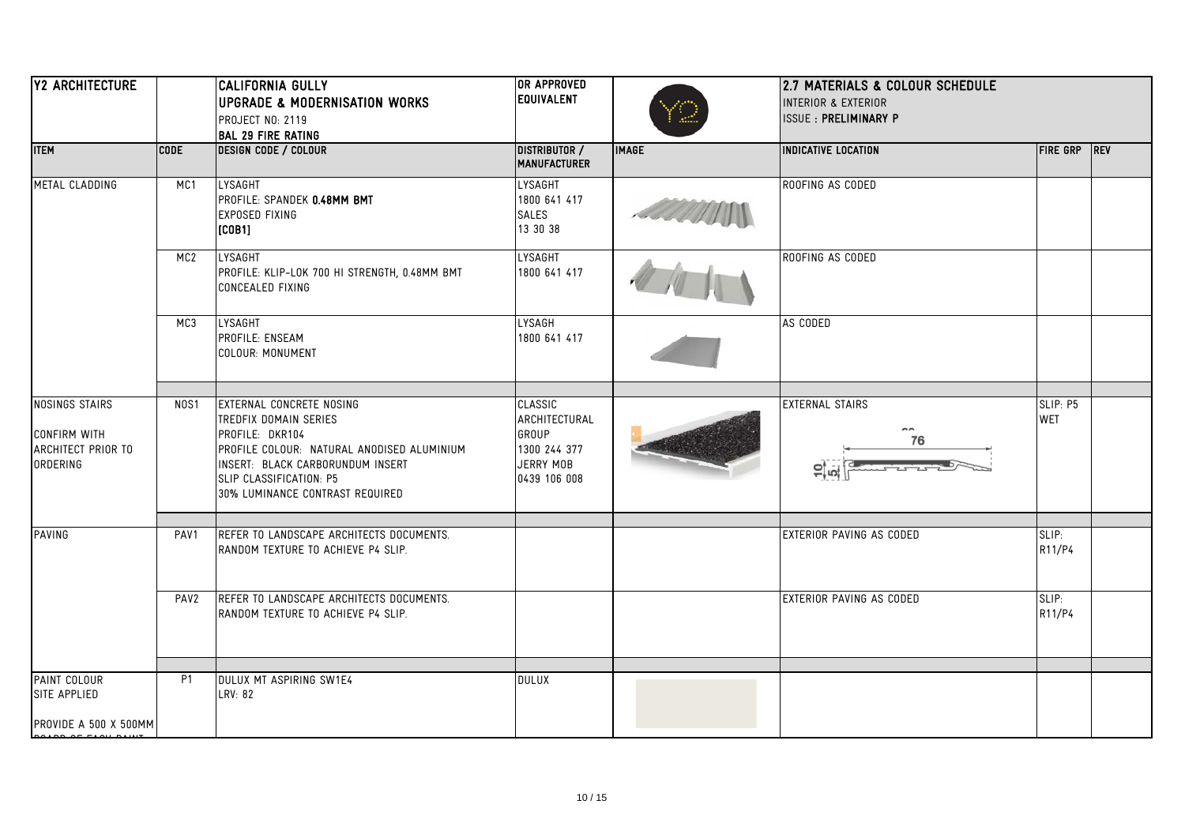| <b>Y2 ARCHITECTURE</b>                                                         |                  | CALIFORNIA GULLY<br>UPGRADE & MODERNISATION WORKS<br>PROJECT NO: 2119<br><b>BAL 29 FIRE RATING</b>                                                                                                                           | OR APPROVED<br><b>EQUIVALENT</b>                                               |                                                                                                                            | 2.7 MATERIALS & COLOUR SCHEDULE<br><b>INTERIOR &amp; EXTERIOR</b><br><b>ISSUE: PRELIMINARY P</b> |                        |  |
|--------------------------------------------------------------------------------|------------------|------------------------------------------------------------------------------------------------------------------------------------------------------------------------------------------------------------------------------|--------------------------------------------------------------------------------|----------------------------------------------------------------------------------------------------------------------------|--------------------------------------------------------------------------------------------------|------------------------|--|
| <b>ITEM</b>                                                                    | <b>CODE</b>      | DESIGN CODE / COLOUR                                                                                                                                                                                                         | <b>DISTRIBUTOR /</b><br><b>MANUFACTURER</b>                                    | <b>IMAGE</b>                                                                                                               | INDICATIVE LOCATION                                                                              | FIRE GRP REV           |  |
| METAL CLADDING                                                                 | MC1              | <b>LYSAGHT</b><br>PROFILE: SPANDEK 0.48MM BMT<br><b>EXPOSED FIXING</b><br>[COB1]                                                                                                                                             | LYSAGHT<br>1800 641 417<br>SALES<br>13 30 38                                   | <b>College Delivery Delivery Delivery Delivery Delivery Delivery Delivery Delivery Delivery Delivery Delivery Delivery</b> | ROOFING AS CODED                                                                                 |                        |  |
|                                                                                | MC <sub>2</sub>  | LYSAGHT<br>PROFILE: KLIP-LOK 700 HI STRENGTH, 0.48MM BMT<br>CONCEALED FIXING                                                                                                                                                 | LYSAGHT<br>1800 641 417                                                        |                                                                                                                            | ROOFING AS CODED                                                                                 |                        |  |
|                                                                                | MC3              | <b>LYSAGHT</b><br><b>PROFILE: ENSEAM</b><br>COLOUR: MONUMENT                                                                                                                                                                 | LYSAGH<br>1800 641 417                                                         |                                                                                                                            | AS CODED                                                                                         |                        |  |
| <b>NOSINGS STAIRS</b><br><b>CONFIRM WITH</b><br>ARCHITECT PRIOR TO<br>ORDERING | NOS <sub>1</sub> | <b>EXTERNAL CONCRETE NOSING</b><br>TREDFIX DOMAIN SERIES<br>PROFILE: DKR104<br>PROFILE COLOUR: NATURAL ANODISED ALUMINIUM<br>IINSERT: BLACK CARBORUNDUM INSERT<br>SLIP CLASSIFICATION: P5<br>30% LUMINANCE CONTRAST REQUIRED | CLASSIC<br>ARCHITECTURAL<br>GROUP<br>1300 244 377<br>JERRY MOB<br>0439 106 008 |                                                                                                                            | <b>EXTERNAL STAIRS</b><br>cc.<br>76<br><u>≃¦</u> എ                                               | SLIP: P5<br><b>WET</b> |  |
| PAVING                                                                         | PAV1             | REFER TO LANDSCAPE ARCHITECTS DOCUMENTS.<br>RANDOM TEXTURE TO ACHIEVE P4 SLIP.                                                                                                                                               |                                                                                |                                                                                                                            | <b>EXTERIOR PAVING AS CODED</b>                                                                  | SLIP:<br>R11/P4        |  |
|                                                                                | PAV <sub>2</sub> | REFER TO LANDSCAPE ARCHITECTS DOCUMENTS.<br>RANDOM TEXTURE TO ACHIEVE P4 SLIP.                                                                                                                                               |                                                                                |                                                                                                                            | <b>EXTERIOR PAVING AS CODED</b>                                                                  | SLIP:<br>R11/P4        |  |
| PAINT COLOUR<br>SITE APPLIED                                                   | P <sub>1</sub>   | <b>IDULUX MT ASPIRING SW1E4</b><br>LRV: 82                                                                                                                                                                                   | <b>DULUX</b>                                                                   |                                                                                                                            |                                                                                                  |                        |  |
| PROVIDE A 500 X 500MM                                                          |                  |                                                                                                                                                                                                                              |                                                                                |                                                                                                                            |                                                                                                  |                        |  |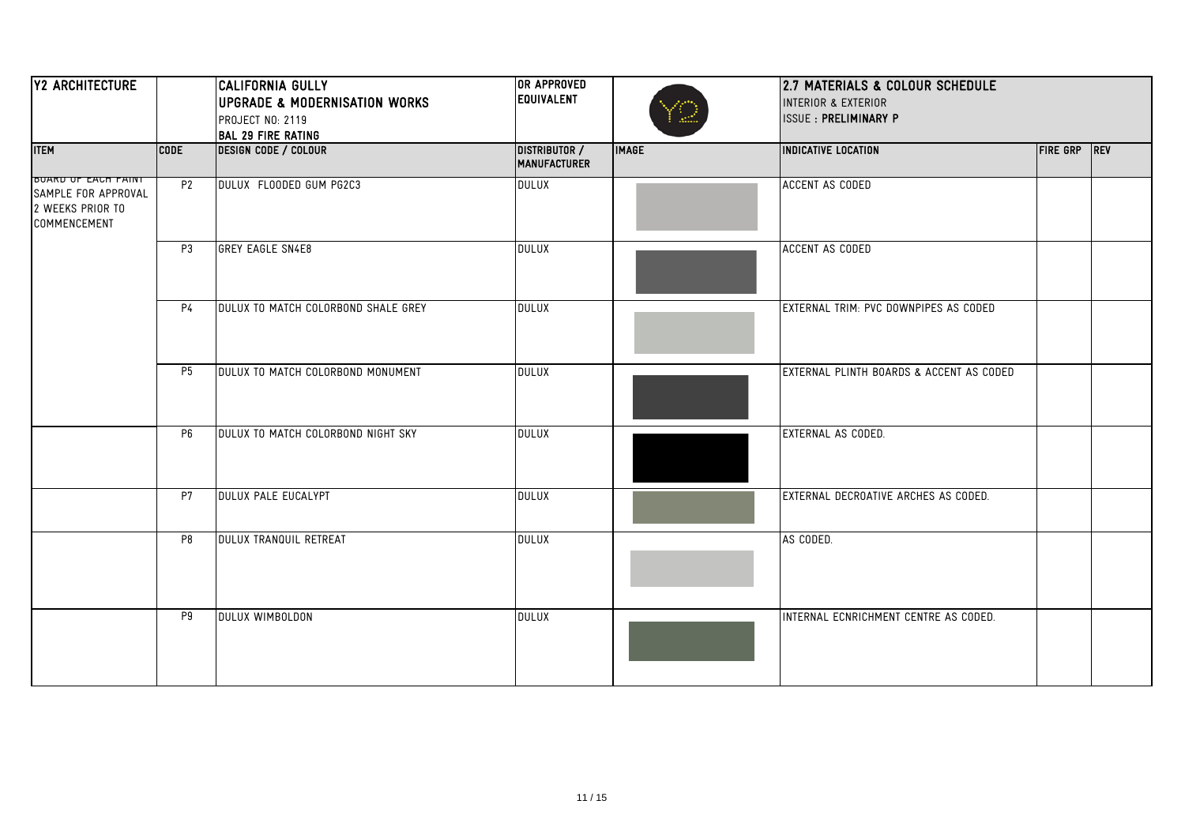| <b>Y2 ARCHITECTURE</b>                                                                |                | CALIFORNIA GULLY<br>UPGRADE & MODERNISATION WORKS<br>PROJECT NO: 2119<br><b>BAL 29 FIRE RATING</b> | OR APPROVED<br><b>EQUIVALENT</b>            |              | 2.7 MATERIALS & COLOUR SCHEDULE<br><b>INTERIOR &amp; EXTERIOR</b><br><b>ISSUE: PRELIMINARY P</b> |              |  |
|---------------------------------------------------------------------------------------|----------------|----------------------------------------------------------------------------------------------------|---------------------------------------------|--------------|--------------------------------------------------------------------------------------------------|--------------|--|
| <b>ITEM</b>                                                                           | <b>CODE</b>    | <b>DESIGN CODE / COLOUR</b>                                                                        | <b>DISTRIBUTOR /</b><br><b>MANUFACTURER</b> | <b>IMAGE</b> | <b>INDICATIVE LOCATION</b>                                                                       | FIRE GRP REV |  |
| <b>BUARD OF EACH PAINT</b><br>SAMPLE FOR APPROVAL<br>2 WEEKS PRIOR TO<br>COMMENCEMENT | P <sub>2</sub> | DULUX FLOODED GUM PG2C3                                                                            | DULUX                                       |              | ACCENT AS CODED                                                                                  |              |  |
|                                                                                       | P3             | <b>GREY EAGLE SN4E8</b>                                                                            | <b>DULUX</b>                                |              | ACCENT AS CODED                                                                                  |              |  |
|                                                                                       | <b>P4</b>      | DULUX TO MATCH COLORBOND SHALE GREY                                                                | <b>DULUX</b>                                |              | EXTERNAL TRIM: PVC DOWNPIPES AS CODED                                                            |              |  |
|                                                                                       | <b>P5</b>      | DULUX TO MATCH COLORBOND MONUMENT                                                                  | <b>DULUX</b>                                |              | EXTERNAL PLINTH BOARDS & ACCENT AS CODED                                                         |              |  |
|                                                                                       | <b>P6</b>      | DULUX TO MATCH COLORBOND NIGHT SKY                                                                 | <b>DULUX</b>                                |              | EXTERNAL AS CODED.                                                                               |              |  |
|                                                                                       | <b>P7</b>      | DULUX PALE EUCALYPT                                                                                | <b>DULUX</b>                                |              | EXTERNAL DECROATIVE ARCHES AS CODED.                                                             |              |  |
|                                                                                       | P8             | DULUX TRANQUIL RETREAT                                                                             | <b>DULUX</b>                                |              | AS CODED.                                                                                        |              |  |
|                                                                                       | P9             | DULUX WIMBOLDON                                                                                    | <b>DULUX</b>                                |              | INTERNAL ECNRICHMENT CENTRE AS CODED.                                                            |              |  |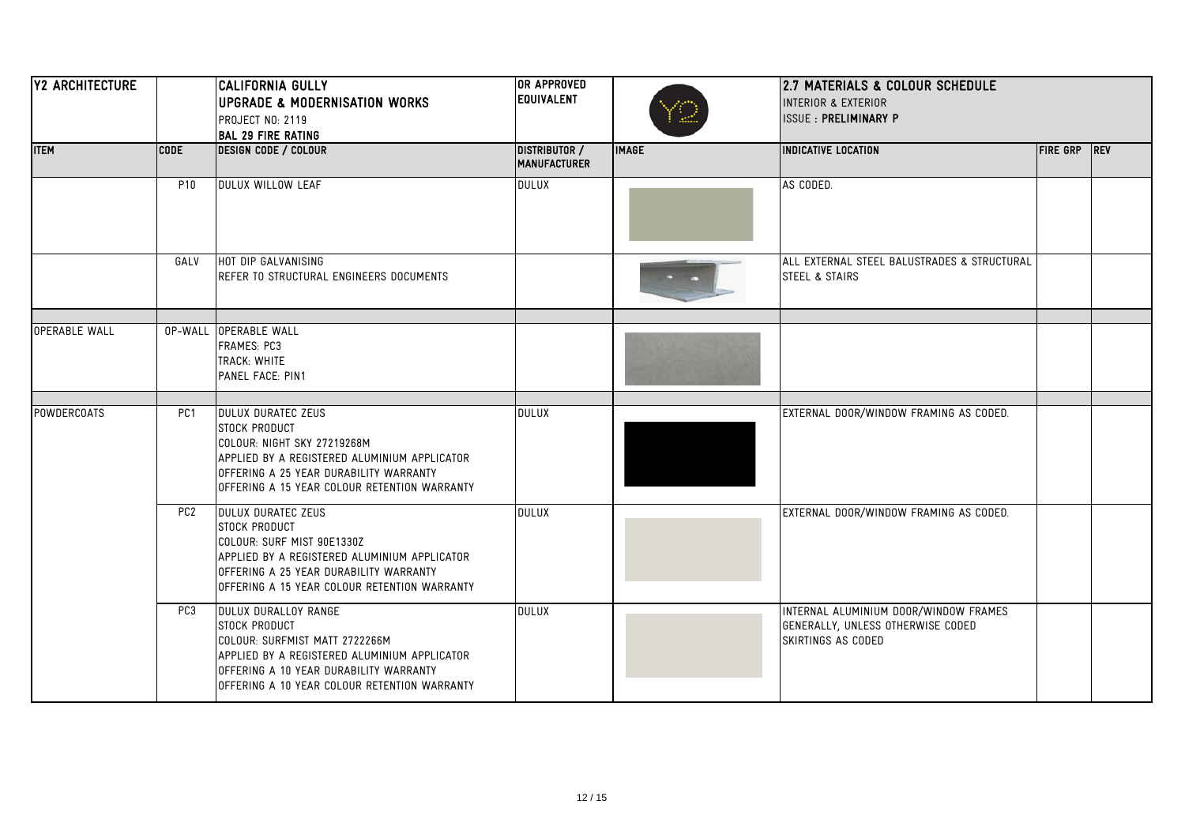| Y2 ARCHITECTURE      |                 | <b>CALIFORNIA GULLY</b><br>UPGRADE & MODERNISATION WORKS<br>PROJECT NO: 2119<br><b>BAL 29 FIRE RATING</b>                                                                                                         | <b>OR APPROVED</b><br>2.7 MATERIALS & COLOUR SCHEDULE<br><b>EQUIVALENT</b><br><b>INTERIOR &amp; EXTERIOR</b><br><b>ISSUE: PRELIMINARY P</b> |              |                                                                                                         |                 |     |
|----------------------|-----------------|-------------------------------------------------------------------------------------------------------------------------------------------------------------------------------------------------------------------|---------------------------------------------------------------------------------------------------------------------------------------------|--------------|---------------------------------------------------------------------------------------------------------|-----------------|-----|
| <b>ITEM</b>          | <b>CODE</b>     | <b>DESIGN CODE / COLOUR</b>                                                                                                                                                                                       | DISTRIBUTOR /<br>MANUFACTURER                                                                                                               | <b>IMAGE</b> | <b>INDICATIVE LOCATION</b>                                                                              | <b>FIRE GRP</b> | REV |
|                      | <b>P10</b>      | DULUX WILLOW LEAF                                                                                                                                                                                                 | <b>DULUX</b>                                                                                                                                |              | AS CODED.                                                                                               |                 |     |
|                      | GALV            | HOT DIP GALVANISING<br>REFER TO STRUCTURAL ENGINEERS DOCUMENTS                                                                                                                                                    |                                                                                                                                             |              | ALL EXTERNAL STEEL BALUSTRADES & STRUCTURAL<br>ISTEEL & STAIRS                                          |                 |     |
| <b>OPERABLE WALL</b> |                 | OP-WALL OPERABLE WALL<br><b>FRAMES: PC3</b><br>TRACK: WHITE<br>PANEL FACE: PIN1                                                                                                                                   |                                                                                                                                             |              |                                                                                                         |                 |     |
| <b>POWDERCOATS</b>   | PC <sub>1</sub> | DULUX DURATEC ZEUS<br>STOCK PRODUCT<br>COLOUR: NIGHT SKY 27219268M<br>APPLIED BY A REGISTERED ALUMINIUM APPLICATOR<br>OFFERING A 25 YEAR DURABILITY WARRANTY<br>OFFERING A 15 YEAR COLOUR RETENTION WARRANTY      | <b>DULUX</b>                                                                                                                                |              | EXTERNAL DOOR/WINDOW FRAMING AS CODED.                                                                  |                 |     |
|                      | PC <sub>2</sub> | DULUX DURATEC ZEUS<br>STOCK PRODUCT<br>COLOUR: SURF MIST 90E1330Z<br>APPLIED BY A REGISTERED ALUMINIUM APPLICATOR<br>OFFERING A 25 YEAR DURABILITY WARRANTY<br>OFFERING A 15 YEAR COLOUR RETENTION WARRANTY       | <b>DULUX</b>                                                                                                                                |              | EXTERNAL DOOR/WINDOW FRAMING AS CODED.                                                                  |                 |     |
|                      | PC3             | DULUX DURALLOY RANGE<br>STOCK PRODUCT<br>COLOUR: SURFMIST MATT 2722266M<br>APPLIED BY A REGISTERED ALUMINIUM APPLICATOR<br>OFFERING A 10 YEAR DURABILITY WARRANTY<br>OFFERING A 10 YEAR COLOUR RETENTION WARRANTY | <b>DULUX</b>                                                                                                                                |              | INTERNAL ALUMINIUM DOOR/WINDOW FRAMES<br><b>GENERALLY, UNLESS OTHERWISE CODED</b><br>SKIRTINGS AS CODED |                 |     |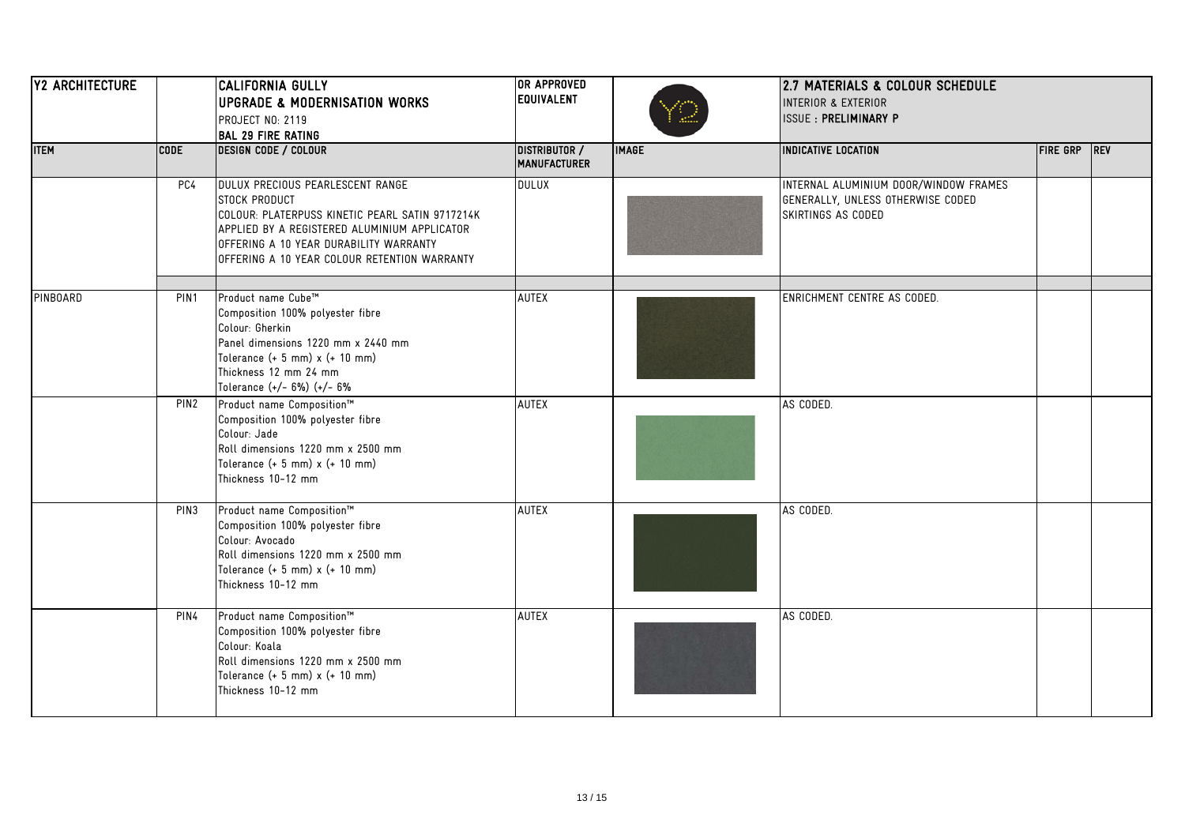| <b>Y2 ARCHITECTURE</b> |                  | CALIFORNIA GULLY<br><b>UPGRADE &amp; MODERNISATION WORKS</b><br>PROJECT NO: 2119<br><b>BAL 29 FIRE RATING</b>                                                                                                                                         | OR APPROVED<br><b>EQUIVALENT</b>     |              | 2.7 MATERIALS & COLOUR SCHEDULE<br><b>INTERIOR &amp; EXTERIOR</b><br><b>ISSUE: PRELIMINARY P</b> |              |  |
|------------------------|------------------|-------------------------------------------------------------------------------------------------------------------------------------------------------------------------------------------------------------------------------------------------------|--------------------------------------|--------------|--------------------------------------------------------------------------------------------------|--------------|--|
| <b>ITEM</b>            | <b>CODE</b>      | <b>DESIGN CODE / COLOUR</b>                                                                                                                                                                                                                           | DISTRIBUTOR /<br><b>MANUFACTURER</b> | <b>IMAGE</b> | <b>INDICATIVE LOCATION</b>                                                                       | FIRE GRP REV |  |
|                        | PC4              | DULUX PRECIOUS PEARLESCENT RANGE<br><b>STOCK PRODUCT</b><br>COLOUR: PLATERPUSS KINETIC PEARL SATIN 9717214K<br>APPLIED BY A REGISTERED ALUMINIUM APPLICATOR<br>OFFERING A 10 YEAR DURABILITY WARRANTY<br>OFFERING A 10 YEAR COLOUR RETENTION WARRANTY | <b>DULUX</b>                         |              | INTERNAL ALUMINIUM DOOR/WINDOW FRAMES<br>GENERALLY, UNLESS OTHERWISE CODED<br>SKIRTINGS AS CODED |              |  |
| <b>PINBOARD</b>        | PIN <sub>1</sub> | Product name Cube™<br>Composition 100% polyester fibre<br>Colour: Gherkin<br>Panel dimensions 1220 mm x 2440 mm<br>Tolerance $(+ 5$ mm) x $(+ 10$ mm)<br>Thickness 12 mm 24 mm<br>Tolerance (+/- 6%) (+/- 6%                                          | <b>AUTEX</b>                         |              | ENRICHMENT CENTRE AS CODED.                                                                      |              |  |
|                        | PIN2             | Product name Composition™<br>Composition 100% polyester fibre<br>Colour: Jade<br>Roll dimensions 1220 mm x 2500 mm<br>Tolerance $(+ 5$ mm) $x (+ 10$ mm)<br>Thickness 10-12 mm                                                                        | <b>AUTEX</b>                         |              | AS CODED.                                                                                        |              |  |
|                        | PIN <sub>3</sub> | Product name Composition™<br>Composition 100% polyester fibre<br>Colour: Avocado<br>Roll dimensions 1220 mm x 2500 mm<br>Tolerance $(+ 5$ mm) x $(+ 10$ mm)<br>Thickness 10-12 mm                                                                     | <b>AUTEX</b>                         |              | AS CODED.                                                                                        |              |  |
|                        | PIN4             | Product name Composition™<br>Composition 100% polyester fibre<br>Colour: Koala<br>Roll dimensions 1220 mm x 2500 mm<br>Tolerance $(+ 5$ mm) x $(+ 10$ mm)<br>Thickness 10-12 mm                                                                       | <b>AUTEX</b>                         |              | AS CODED.                                                                                        |              |  |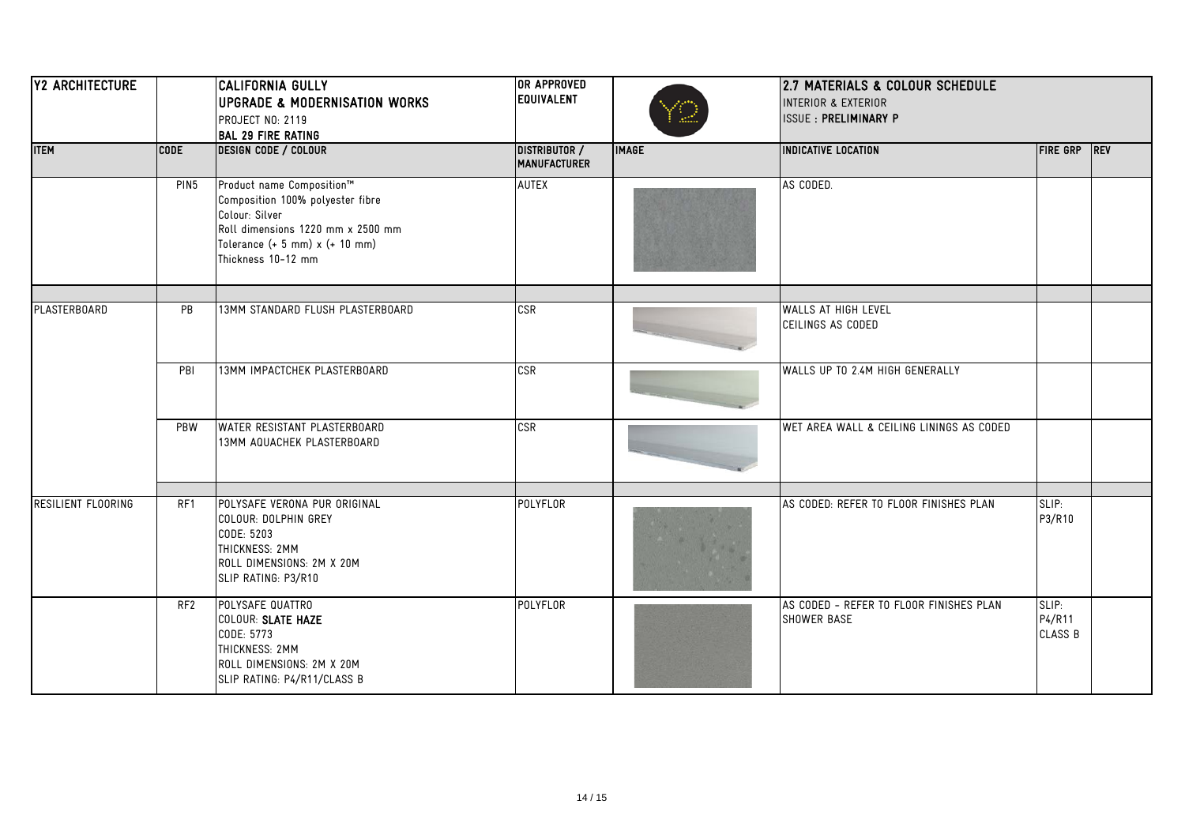| <b>Y2 ARCHITECTURE</b> |                  | CALIFORNIA GULLY<br>UPGRADE & MODERNISATION WORKS<br>PROJECT NO: 2119<br><b>BAL 29 FIRE RATING</b>                                                                           | OR APPROVED<br><b>EQUIVALENT</b> | n.           | 2.7 MATERIALS & COLOUR SCHEDULE<br><b>INTERIOR &amp; EXTERIOR</b><br><b>ISSUE: PRELIMINARY P</b> |                                   |     |
|------------------------|------------------|------------------------------------------------------------------------------------------------------------------------------------------------------------------------------|----------------------------------|--------------|--------------------------------------------------------------------------------------------------|-----------------------------------|-----|
| <b>ITEM</b>            | <b>CODE</b>      | DESIGN CODE / COLOUR                                                                                                                                                         | DISTRIBUTOR /<br>MANUFACTURER    | <b>IMAGE</b> | INDICATIVE LOCATION                                                                              | <b>FIRE GRP</b>                   | REV |
|                        | PIN <sub>5</sub> | Product name Composition™<br>Composition 100% polyester fibre<br>Colour: Silver<br>Roll dimensions 1220 mm x 2500 mm<br>Tolerance (+ 5 mm) x (+ 10 mm)<br>Thickness 10-12 mm | <b>AUTEX</b>                     |              | AS CODED.                                                                                        |                                   |     |
|                        |                  |                                                                                                                                                                              |                                  |              |                                                                                                  |                                   |     |
| <b>PLASTERBOARD</b>    | PB               | 13MM STANDARD FLUSH PLASTERBOARD                                                                                                                                             | <b>CSR</b>                       |              | <b>WALLS AT HIGH LEVEL</b><br><b>CEILINGS AS CODED</b>                                           |                                   |     |
|                        | PBI              | 13MM IMPACTCHEK PLASTERBOARD                                                                                                                                                 | <b>CSR</b>                       |              | WALLS UP TO 2.4M HIGH GENERALLY                                                                  |                                   |     |
|                        | PBW              | WATER RESISTANT PLASTERBOARD<br>13MM AQUACHEK PLASTERBOARD                                                                                                                   | <b>CSR</b>                       |              | WET AREA WALL & CEILING LININGS AS CODED                                                         |                                   |     |
| RESILIENT FLOORING     | RF1              | POLYSAFE VERONA PUR ORIGINAL                                                                                                                                                 | <b>POLYFLOR</b>                  |              | AS CODED: REFER TO FLOOR FINISHES PLAN                                                           | SLIP:                             |     |
|                        |                  | COLOUR: DOLPHIN GREY<br>CODE: 5203<br>THICKNESS: 2MM<br>ROLL DIMENSIONS: 2M X 20M<br>SLIP RATING: P3/R10                                                                     |                                  |              |                                                                                                  | P3/R10                            |     |
|                        | RF <sub>2</sub>  | POLYSAFE QUATTRO<br>COLOUR: SLATE HAZE<br>CODE: 5773<br>THICKNESS: 2MM<br>ROLL DIMENSIONS: 2M X 20M<br>SLIP RATING: P4/R11/CLASS B                                           | POLYFLOR                         |              | AS CODED - REFER TO FLOOR FINISHES PLAN<br>SHOWER BASE                                           | SLIP:<br>P4/R11<br><b>CLASS B</b> |     |